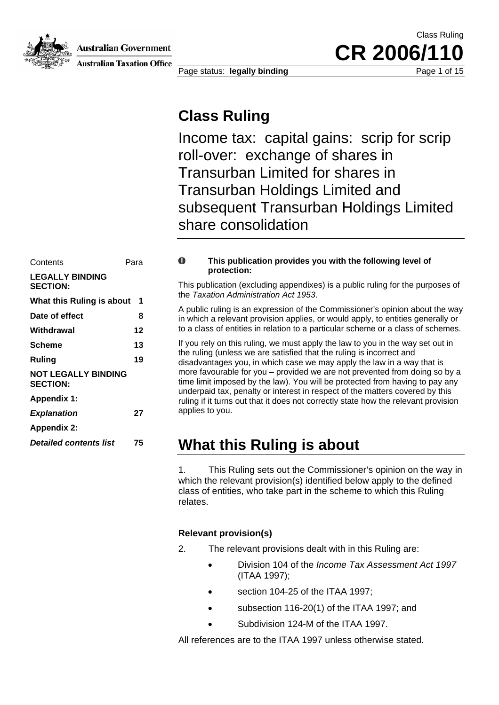**Australian Government** 



**Australian Taxation Office** 

Page status: **legally binding Page 1 of 15** Page 1 of 15

CR 2006/1

Class Ruling

### **Class Ruling**

Income tax: capital gains: scrip for scrip roll-over: exchange of shares in Transurban Limited for shares in Transurban Holdings Limited and subsequent Transurban Holdings Limited share consolidation

| Contents                                      | Para              | O                          |
|-----------------------------------------------|-------------------|----------------------------|
| <b>LEGALLY BINDING</b><br><b>SECTION:</b>     |                   | This p<br>the Ta           |
| What this Ruling is about                     | 1                 |                            |
| Date of effect                                | 8                 | A pub<br>in whi            |
| Withdrawal                                    | 12                | to a cl                    |
| <b>Scheme</b>                                 | 13                | If you<br>the ru<br>disad\ |
| <b>Ruling</b>                                 | 19                |                            |
| <b>NOT LEGALLY BINDING</b><br><b>SECTION:</b> | more :<br>time li |                            |
| <b>Appendix 1:</b>                            |                   | under<br>ruling            |
| <b>Explanation</b>                            | 27                | applie                     |
| <b>Appendix 2:</b>                            |                   |                            |
| <b>Detailed contents list</b>                 | 75                |                            |
|                                               |                   |                            |

#### $\mathbf 0$ **This publication provides you with the following level of protection:**

This publication (excluding appendixes) is a public ruling for the purposes of the *Taxation Administration Act 1953*.

A public ruling is an expression of the Commissioner's opinion about the way in which a relevant provision applies, or would apply, to entities generally or Withdrawal **12** to a class of entities in relation to a particular scheme or a class of schemes.

If you rely on this ruling, we must apply the law to you in the way set out in the ruling (unless we are satisfied that the ruling is incorrect and Ruling **19** 19 disadvantages you, in which case we may apply the law in a way that is more favourable for you – provided we are not prevented from doing so by a time limit imposed by the law). You will be protected from having to pay any underpaid tax, penalty or interest in respect of the matters covered by this ruling if it turns out that it does not correctly state how the relevant provision applies to you.

### **What this Ruling is about**

1. This Ruling sets out the Commissioner's opinion on the way in which the relevant provision(s) identified below apply to the defined class of entities, who take part in the scheme to which this Ruling relates.

### **Relevant provision(s)**

2. The relevant provisions dealt with in this Ruling are:

- Division 104 of the *Income Tax Assessment Act 1997*  (ITAA 1997);
- section 104-25 of the ITAA 1997;
- subsection 116-20(1) of the ITAA 1997; and
- Subdivision 124-M of the ITAA 1997.

All references are to the ITAA 1997 unless otherwise stated.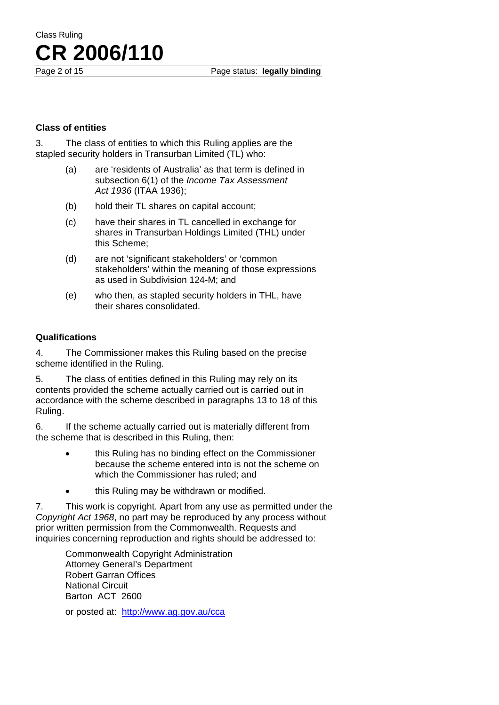#### **Class of entities**

3. The class of entities to which this Ruling applies are the stapled security holders in Transurban Limited (TL) who:

- (a) are 'residents of Australia' as that term is defined in subsection 6(1) of the *Income Tax Assessment Act 1936* (ITAA 1936);
- (b) hold their TL shares on capital account;
- (c) have their shares in TL cancelled in exchange for shares in Transurban Holdings Limited (THL) under this Scheme;
- (d) are not 'significant stakeholders' or 'common stakeholders' within the meaning of those expressions as used in Subdivision 124-M; and
- (e) who then, as stapled security holders in THL, have their shares consolidated.

#### **Qualifications**

4. The Commissioner makes this Ruling based on the precise scheme identified in the Ruling.

5. The class of entities defined in this Ruling may rely on its contents provided the scheme actually carried out is carried out in accordance with the scheme described in paragraphs 13 to 18 of this Ruling.

6. If the scheme actually carried out is materially different from the scheme that is described in this Ruling, then:

- this Ruling has no binding effect on the Commissioner because the scheme entered into is not the scheme on which the Commissioner has ruled; and
- this Ruling may be withdrawn or modified.

7. This work is copyright. Apart from any use as permitted under the *Copyright Act 1968*, no part may be reproduced by any process without prior written permission from the Commonwealth. Requests and inquiries concerning reproduction and rights should be addressed to:

Commonwealth Copyright Administration Attorney General's Department Robert Garran Offices National Circuit Barton ACT 2600

or posted at: <http://www.ag.gov.au/cca>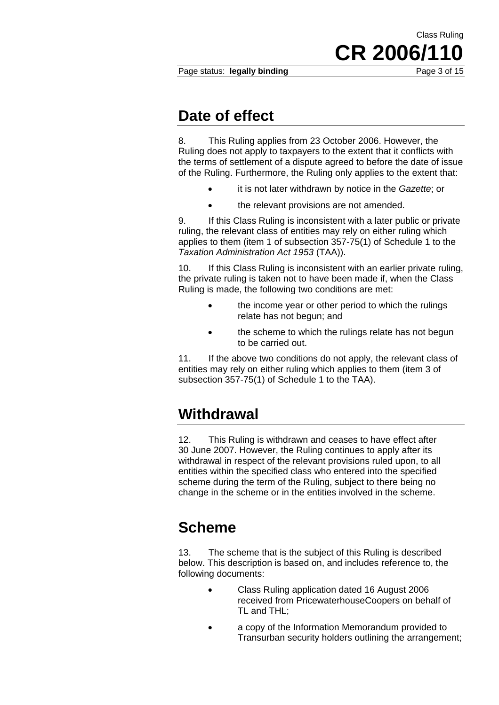Page status: **legally binding** Page 3 of 15

CR 2006/1

Class Ruling

### **Date of effect**

8. This Ruling applies from 23 October 2006. However, the Ruling does not apply to taxpayers to the extent that it conflicts with the terms of settlement of a dispute agreed to before the date of issue of the Ruling. Furthermore, the Ruling only applies to the extent that:

- it is not later withdrawn by notice in the *Gazette*; or
- the relevant provisions are not amended.

9. If this Class Ruling is inconsistent with a later public or private ruling, the relevant class of entities may rely on either ruling which applies to them (item 1 of subsection 357-75(1) of Schedule 1 to the *Taxation Administration Act 1953* (TAA)).

10. If this Class Ruling is inconsistent with an earlier private ruling, the private ruling is taken not to have been made if, when the Class Ruling is made, the following two conditions are met:

- the income year or other period to which the rulings relate has not begun; and
- the scheme to which the rulings relate has not begun to be carried out.

11. If the above two conditions do not apply, the relevant class of entities may rely on either ruling which applies to them (item 3 of subsection 357-75(1) of Schedule 1 to the TAA).

## **Withdrawal**

12. This Ruling is withdrawn and ceases to have effect after 30 June 2007. However, the Ruling continues to apply after its withdrawal in respect of the relevant provisions ruled upon, to all entities within the specified class who entered into the specified scheme during the term of the Ruling, subject to there being no change in the scheme or in the entities involved in the scheme.

## **Scheme**

13. The scheme that is the subject of this Ruling is described below. This description is based on, and includes reference to, the following documents:

- Class Ruling application dated 16 August 2006 received from PricewaterhouseCoopers on behalf of TL and THL;
- a copy of the Information Memorandum provided to Transurban security holders outlining the arrangement;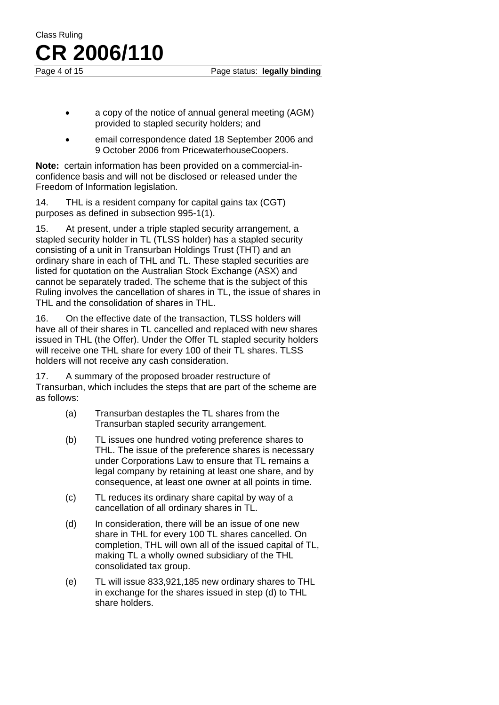Page 4 of 15 Page status: **legally binding** 

- a copy of the notice of annual general meeting (AGM) provided to stapled security holders; and
- email correspondence dated 18 September 2006 and 9 October 2006 from PricewaterhouseCoopers.

**Note:** certain information has been provided on a commercial-inconfidence basis and will not be disclosed or released under the Freedom of Information legislation.

14. THL is a resident company for capital gains tax (CGT) purposes as defined in subsection 995-1(1).

15. At present, under a triple stapled security arrangement, a stapled security holder in TL (TLSS holder) has a stapled security consisting of a unit in Transurban Holdings Trust (THT) and an ordinary share in each of THL and TL. These stapled securities are listed for quotation on the Australian Stock Exchange (ASX) and cannot be separately traded. The scheme that is the subject of this Ruling involves the cancellation of shares in TL, the issue of shares in THL and the consolidation of shares in THL.

16. On the effective date of the transaction, TLSS holders will have all of their shares in TL cancelled and replaced with new shares issued in THL (the Offer). Under the Offer TL stapled security holders will receive one THL share for every 100 of their TL shares. TLSS holders will not receive any cash consideration.

17. A summary of the proposed broader restructure of Transurban, which includes the steps that are part of the scheme are as follows:

- (a) Transurban destaples the TL shares from the Transurban stapled security arrangement.
- (b) TL issues one hundred voting preference shares to THL. The issue of the preference shares is necessary under Corporations Law to ensure that TL remains a legal company by retaining at least one share, and by consequence, at least one owner at all points in time.
- (c) TL reduces its ordinary share capital by way of a cancellation of all ordinary shares in TL.
- (d) In consideration, there will be an issue of one new share in THL for every 100 TL shares cancelled. On completion, THL will own all of the issued capital of TL, making TL a wholly owned subsidiary of the THL consolidated tax group.
- (e) TL will issue 833,921,185 new ordinary shares to THL in exchange for the shares issued in step (d) to THL share holders.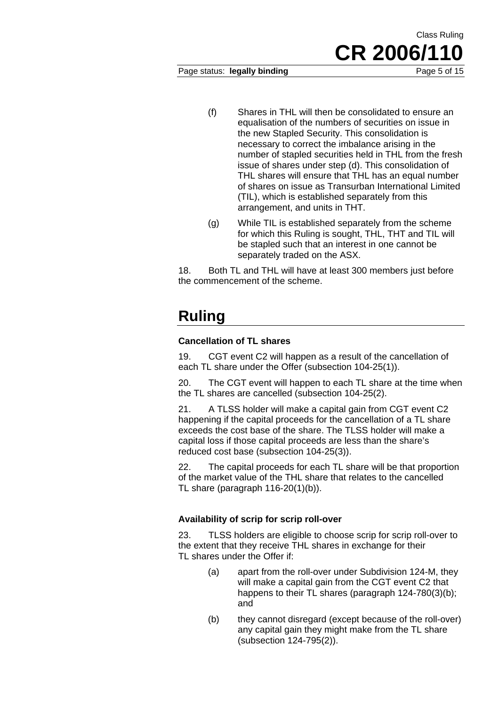Page status: **legally binding Page 5 of 15** 

- (f) Shares in THL will then be consolidated to ensure an equalisation of the numbers of securities on issue in the new Stapled Security. This consolidation is necessary to correct the imbalance arising in the number of stapled securities held in THL from the fresh issue of shares under step (d). This consolidation of THL shares will ensure that THL has an equal number of shares on issue as Transurban International Limited (TIL), which is established separately from this arrangement, and units in THT.
- (g) While TIL is established separately from the scheme for which this Ruling is sought, THL, THT and TIL will be stapled such that an interest in one cannot be separately traded on the ASX.

18. Both TL and THL will have at least 300 members just before the commencement of the scheme.

# **Ruling**

### **Cancellation of TL shares**

19. CGT event C2 will happen as a result of the cancellation of each TL share under the Offer (subsection 104-25(1)).

20. The CGT event will happen to each TL share at the time when the TL shares are cancelled (subsection 104-25(2).

21. A TLSS holder will make a capital gain from CGT event C2 happening if the capital proceeds for the cancellation of a TL share exceeds the cost base of the share. The TLSS holder will make a capital loss if those capital proceeds are less than the share's reduced cost base (subsection 104-25(3)).

22. The capital proceeds for each TL share will be that proportion of the market value of the THL share that relates to the cancelled TL share (paragraph 116-20(1)(b)).

### **Availability of scrip for scrip roll-over**

23. TLSS holders are eligible to choose scrip for scrip roll-over to the extent that they receive THL shares in exchange for their TL shares under the Offer if:

- (a) apart from the roll-over under Subdivision 124-M, they will make a capital gain from the CGT event C2 that happens to their TL shares (paragraph 124-780(3)(b); and
- (b) they cannot disregard (except because of the roll-over) any capital gain they might make from the TL share (subsection 124-795(2)).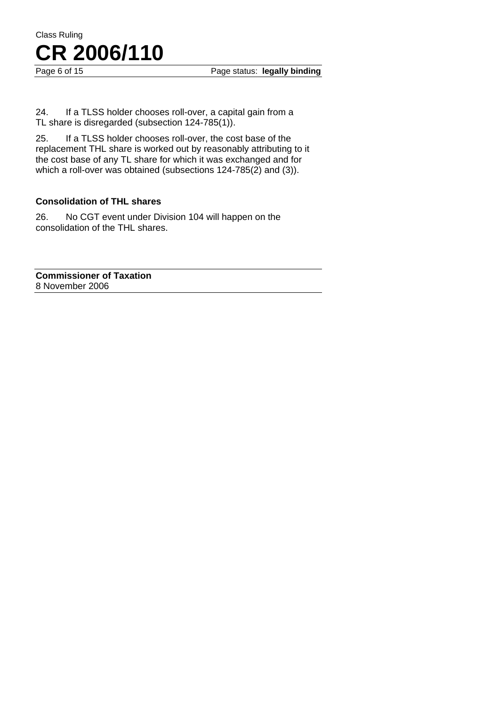Page 6 of 15 **Page status:** legally binding

24. If a TLSS holder chooses roll-over, a capital gain from a TL share is disregarded (subsection 124-785(1)).

25. If a TLSS holder chooses roll-over, the cost base of the replacement THL share is worked out by reasonably attributing to it the cost base of any TL share for which it was exchanged and for which a roll-over was obtained (subsections 124-785(2) and (3)).

#### **Consolidation of THL shares**

26. No CGT event under Division 104 will happen on the consolidation of the THL shares.

**Commissioner of Taxation**  8 November 2006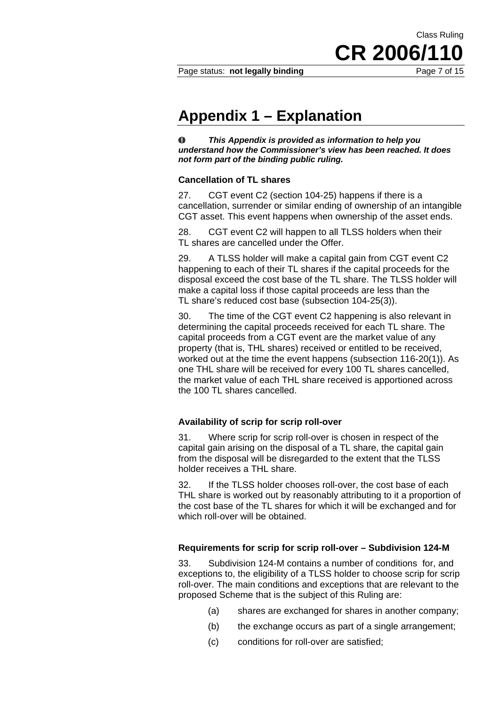Class Ruling

CR 2006/1

### **Appendix 1 – Explanation**

 $\bf{O}$ *This Appendix is provided as information to help you understand how the Commissioner's view has been reached. It does not form part of the binding public ruling.* 

#### **Cancellation of TL shares**

27. CGT event C2 (section 104-25) happens if there is a cancellation, surrender or similar ending of ownership of an intangible CGT asset. This event happens when ownership of the asset ends.

28. CGT event C2 will happen to all TLSS holders when their TL shares are cancelled under the Offer.

29. A TLSS holder will make a capital gain from CGT event C2 happening to each of their TL shares if the capital proceeds for the disposal exceed the cost base of the TL share. The TLSS holder will make a capital loss if those capital proceeds are less than the TL share's reduced cost base (subsection 104-25(3)).

30. The time of the CGT event C2 happening is also relevant in determining the capital proceeds received for each TL share. The capital proceeds from a CGT event are the market value of any property (that is, THL shares) received or entitled to be received, worked out at the time the event happens (subsection 116-20(1)). As one THL share will be received for every 100 TL shares cancelled, the market value of each THL share received is apportioned across the 100 TL shares cancelled.

#### **Availability of scrip for scrip roll-over**

31. Where scrip for scrip roll-over is chosen in respect of the capital gain arising on the disposal of a TL share, the capital gain from the disposal will be disregarded to the extent that the TLSS holder receives a THL share.

32. If the TLSS holder chooses roll-over, the cost base of each THL share is worked out by reasonably attributing to it a proportion of the cost base of the TL shares for which it will be exchanged and for which roll-over will be obtained.

#### **Requirements for scrip for scrip roll-over – Subdivision 124-M**

33. Subdivision 124-M contains a number of conditions for, and exceptions to, the eligibility of a TLSS holder to choose scrip for scrip roll-over. The main conditions and exceptions that are relevant to the proposed Scheme that is the subject of this Ruling are:

- (a) shares are exchanged for shares in another company;
- (b) the exchange occurs as part of a single arrangement;
- (c) conditions for roll-over are satisfied;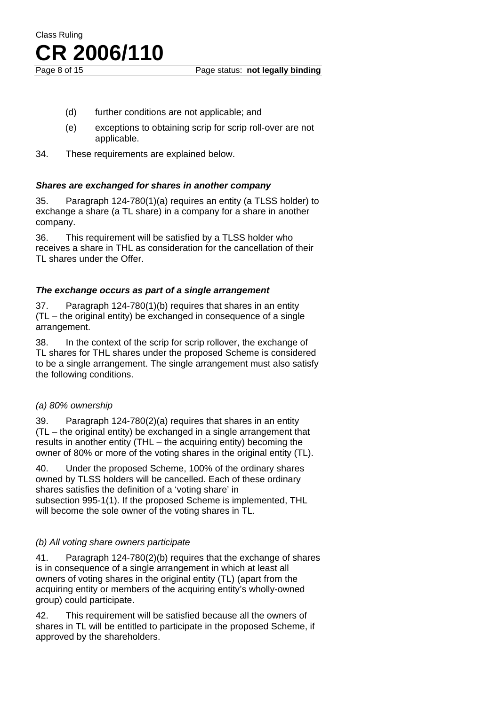- (d) further conditions are not applicable; and
- (e) exceptions to obtaining scrip for scrip roll-over are not applicable.
- 34. These requirements are explained below.

#### *Shares are exchanged for shares in another company*

35. Paragraph 124-780(1)(a) requires an entity (a TLSS holder) to exchange a share (a TL share) in a company for a share in another company.

36. This requirement will be satisfied by a TLSS holder who receives a share in THL as consideration for the cancellation of their TL shares under the Offer.

#### *The exchange occurs as part of a single arrangement*

37. Paragraph 124-780(1)(b) requires that shares in an entity (TL – the original entity) be exchanged in consequence of a single arrangement.

38. In the context of the scrip for scrip rollover, the exchange of TL shares for THL shares under the proposed Scheme is considered to be a single arrangement. The single arrangement must also satisfy the following conditions.

#### *(a) 80% ownership*

39. Paragraph 124-780(2)(a) requires that shares in an entity (TL – the original entity) be exchanged in a single arrangement that results in another entity (THL – the acquiring entity) becoming the owner of 80% or more of the voting shares in the original entity (TL).

40. Under the proposed Scheme, 100% of the ordinary shares owned by TLSS holders will be cancelled. Each of these ordinary shares satisfies the definition of a 'voting share' in subsection 995-1(1). If the proposed Scheme is implemented, THL will become the sole owner of the voting shares in TL.

#### *(b) All voting share owners participate*

41. Paragraph 124-780(2)(b) requires that the exchange of shares is in consequence of a single arrangement in which at least all owners of voting shares in the original entity (TL) (apart from the acquiring entity or members of the acquiring entity's wholly-owned group) could participate.

42. This requirement will be satisfied because all the owners of shares in TL will be entitled to participate in the proposed Scheme, if approved by the shareholders.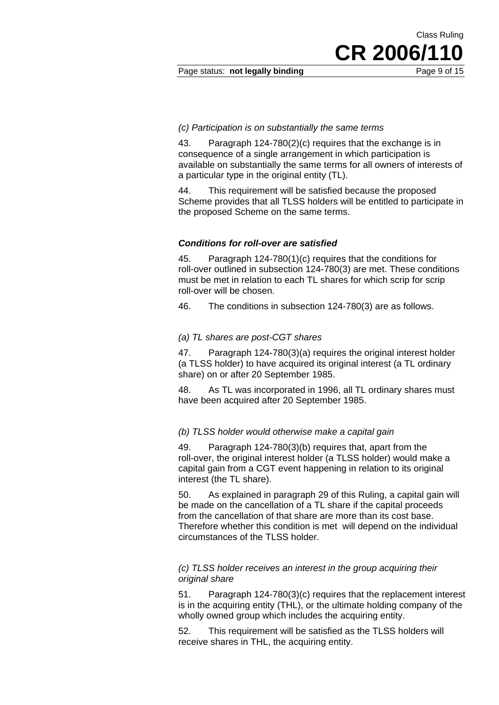Page status: **not legally binding** Page 9 of 15

CR 2006/1

Class Ruling

#### *(c) Participation is on substantially the same terms*

43. Paragraph 124-780(2)(c) requires that the exchange is in consequence of a single arrangement in which participation is available on substantially the same terms for all owners of interests of a particular type in the original entity (TL).

44. This requirement will be satisfied because the proposed Scheme provides that all TLSS holders will be entitled to participate in the proposed Scheme on the same terms.

#### *Conditions for roll-over are satisfied*

45. Paragraph 124-780(1)(c) requires that the conditions for roll-over outlined in subsection 124-780(3) are met. These conditions must be met in relation to each TL shares for which scrip for scrip roll-over will be chosen.

46. The conditions in subsection 124-780(3) are as follows.

#### *(a) TL shares are post-CGT shares*

47. Paragraph 124-780(3)(a) requires the original interest holder (a TLSS holder) to have acquired its original interest (a TL ordinary share) on or after 20 September 1985.

48. As TL was incorporated in 1996, all TL ordinary shares must have been acquired after 20 September 1985.

#### *(b) TLSS holder would otherwise make a capital gain*

49. Paragraph 124-780(3)(b) requires that, apart from the roll-over, the original interest holder (a TLSS holder) would make a capital gain from a CGT event happening in relation to its original interest (the TL share).

50. As explained in paragraph 29 of this Ruling, a capital gain will be made on the cancellation of a TL share if the capital proceeds from the cancellation of that share are more than its cost base. Therefore whether this condition is met will depend on the individual circumstances of the TLSS holder.

#### *(c) TLSS holder receives an interest in the group acquiring their original share*

51. Paragraph 124-780(3)(c) requires that the replacement interest is in the acquiring entity (THL), or the ultimate holding company of the wholly owned group which includes the acquiring entity.

52. This requirement will be satisfied as the TLSS holders will receive shares in THL, the acquiring entity.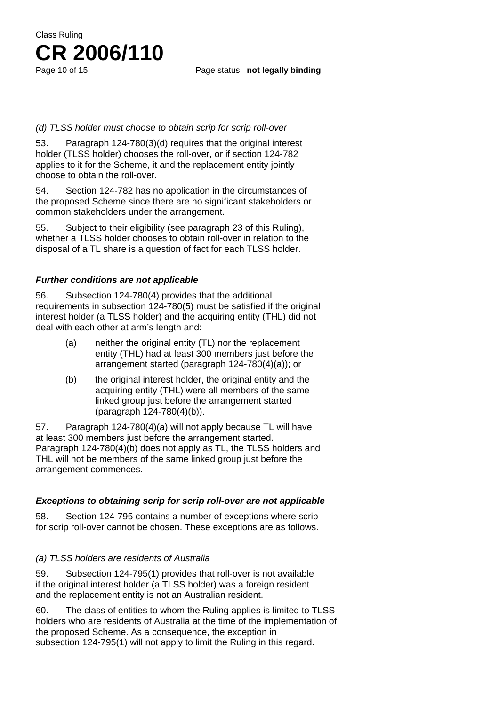**CR 2006/110**

Class Ruling

#### *(d) TLSS holder must choose to obtain scrip for scrip roll-over*

53. Paragraph 124-780(3)(d) requires that the original interest holder (TLSS holder) chooses the roll-over, or if section 124-782 applies to it for the Scheme, it and the replacement entity jointly choose to obtain the roll-over.

54. Section 124-782 has no application in the circumstances of the proposed Scheme since there are no significant stakeholders or common stakeholders under the arrangement.

55. Subject to their eligibility (see paragraph 23 of this Ruling), whether a TLSS holder chooses to obtain roll-over in relation to the disposal of a TL share is a question of fact for each TLSS holder.

#### *Further conditions are not applicable*

56. Subsection 124-780(4) provides that the additional requirements in subsection 124-780(5) must be satisfied if the original interest holder (a TLSS holder) and the acquiring entity (THL) did not deal with each other at arm's length and:

- (a) neither the original entity (TL) nor the replacement entity (THL) had at least 300 members just before the arrangement started (paragraph 124-780(4)(a)); or
- (b) the original interest holder, the original entity and the acquiring entity (THL) were all members of the same linked group just before the arrangement started (paragraph 124-780(4)(b)).

57. Paragraph 124-780(4)(a) will not apply because TL will have at least 300 members just before the arrangement started. Paragraph 124-780(4)(b) does not apply as TL, the TLSS holders and THL will not be members of the same linked group just before the arrangement commences.

#### *Exceptions to obtaining scrip for scrip roll-over are not applicable*

58. Section 124-795 contains a number of exceptions where scrip for scrip roll-over cannot be chosen. These exceptions are as follows.

#### *(a) TLSS holders are residents of Australia*

59. Subsection 124-795(1) provides that roll-over is not available if the original interest holder (a TLSS holder) was a foreign resident and the replacement entity is not an Australian resident.

60. The class of entities to whom the Ruling applies is limited to TLSS holders who are residents of Australia at the time of the implementation of the proposed Scheme. As a consequence, the exception in subsection 124-795(1) will not apply to limit the Ruling in this regard.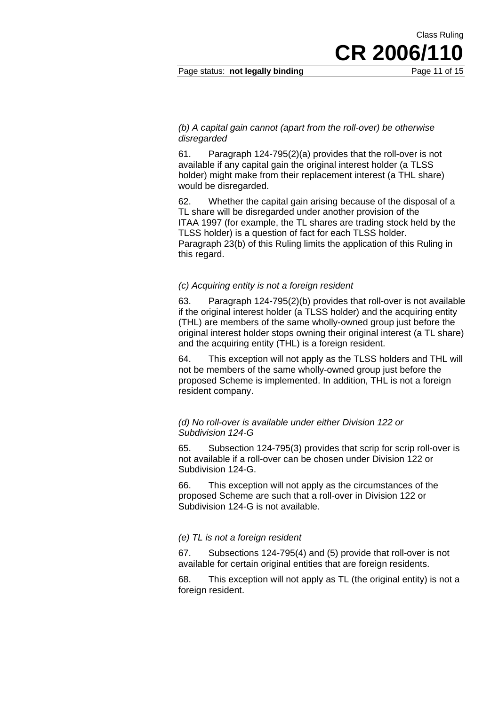Page status: **not legally binding** Page 11 of 15

CR 2006/11

Class Ruling

#### *(b) A capital gain cannot (apart from the roll-over) be otherwise disregarded*

61. Paragraph 124-795(2)(a) provides that the roll-over is not available if any capital gain the original interest holder (a TLSS holder) might make from their replacement interest (a THL share) would be disregarded.

62. Whether the capital gain arising because of the disposal of a TL share will be disregarded under another provision of the ITAA 1997 (for example, the TL shares are trading stock held by the TLSS holder) is a question of fact for each TLSS holder. Paragraph 23(b) of this Ruling limits the application of this Ruling in this regard.

#### *(c) Acquiring entity is not a foreign resident*

63. Paragraph 124-795(2)(b) provides that roll-over is not available if the original interest holder (a TLSS holder) and the acquiring entity (THL) are members of the same wholly-owned group just before the original interest holder stops owning their original interest (a TL share) and the acquiring entity (THL) is a foreign resident.

64. This exception will not apply as the TLSS holders and THL will not be members of the same wholly-owned group just before the proposed Scheme is implemented. In addition, THL is not a foreign resident company.

#### *(d) No roll-over is available under either Division 122 or Subdivision 124-G*

65. Subsection 124-795(3) provides that scrip for scrip roll-over is not available if a roll-over can be chosen under Division 122 or Subdivision 124-G.

66. This exception will not apply as the circumstances of the proposed Scheme are such that a roll-over in Division 122 or Subdivision 124-G is not available.

#### *(e) TL is not a foreign resident*

67. Subsections 124-795(4) and (5) provide that roll-over is not available for certain original entities that are foreign residents.

68. This exception will not apply as TL (the original entity) is not a foreign resident.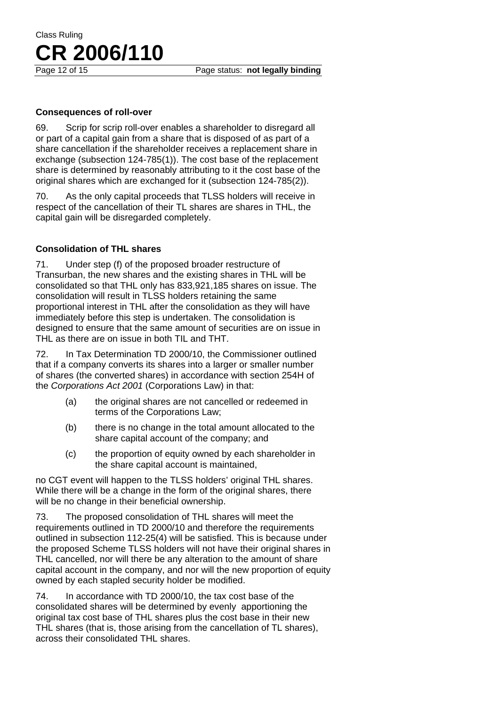#### **Consequences of roll-over**

69. Scrip for scrip roll-over enables a shareholder to disregard all or part of a capital gain from a share that is disposed of as part of a share cancellation if the shareholder receives a replacement share in exchange (subsection 124-785(1)). The cost base of the replacement share is determined by reasonably attributing to it the cost base of the original shares which are exchanged for it (subsection 124-785(2)).

70. As the only capital proceeds that TLSS holders will receive in respect of the cancellation of their TL shares are shares in THL, the capital gain will be disregarded completely.

#### **Consolidation of THL shares**

71. Under step (f) of the proposed broader restructure of Transurban, the new shares and the existing shares in THL will be consolidated so that THL only has 833,921,185 shares on issue. The consolidation will result in TLSS holders retaining the same proportional interest in THL after the consolidation as they will have immediately before this step is undertaken. The consolidation is designed to ensure that the same amount of securities are on issue in THL as there are on issue in both TIL and THT.

72. In Tax Determination TD 2000/10, the Commissioner outlined that if a company converts its shares into a larger or smaller number of shares (the converted shares) in accordance with section 254H of the *Corporations Act 2001* (Corporations Law) in that:

- (a) the original shares are not cancelled or redeemed in terms of the Corporations Law;
- (b) there is no change in the total amount allocated to the share capital account of the company; and
- (c) the proportion of equity owned by each shareholder in the share capital account is maintained,

no CGT event will happen to the TLSS holders' original THL shares. While there will be a change in the form of the original shares, there will be no change in their beneficial ownership.

73. The proposed consolidation of THL shares will meet the requirements outlined in TD 2000/10 and therefore the requirements outlined in subsection 112-25(4) will be satisfied. This is because under the proposed Scheme TLSS holders will not have their original shares in THL cancelled, nor will there be any alteration to the amount of share capital account in the company, and nor will the new proportion of equity owned by each stapled security holder be modified.

74. In accordance with TD 2000/10, the tax cost base of the consolidated shares will be determined by evenly apportioning the original tax cost base of THL shares plus the cost base in their new THL shares (that is, those arising from the cancellation of TL shares), across their consolidated THL shares.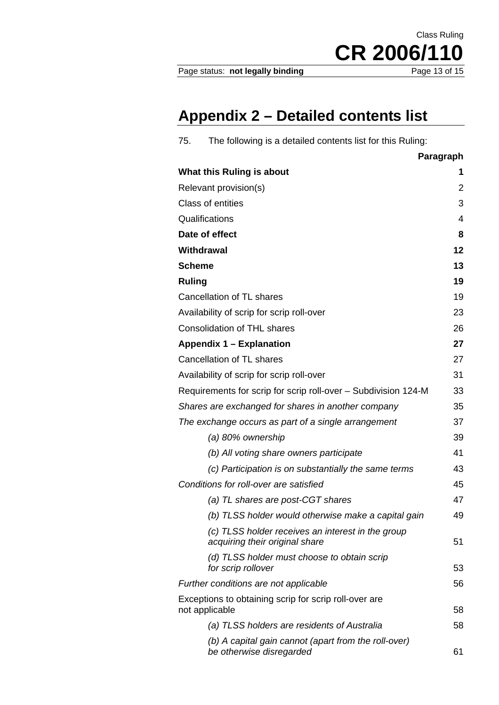Page status: not legally binding

CR 2006/110

Class Ruling

# **Appendix 2 – Detailed contents list**

| The following is a detailed contents list for this Ruling:<br>75.                   |                |
|-------------------------------------------------------------------------------------|----------------|
|                                                                                     | Paragraph      |
| What this Ruling is about                                                           | 1              |
| Relevant provision(s)                                                               | $\overline{2}$ |
| <b>Class of entities</b>                                                            | 3              |
| Qualifications                                                                      | 4              |
| Date of effect                                                                      | 8              |
| Withdrawal                                                                          | 12             |
| <b>Scheme</b>                                                                       | 13             |
| <b>Ruling</b>                                                                       | 19             |
| Cancellation of TL shares                                                           | 19             |
| Availability of scrip for scrip roll-over                                           | 23             |
| <b>Consolidation of THL shares</b>                                                  | 26             |
| Appendix 1 – Explanation                                                            | 27             |
| Cancellation of TL shares                                                           | 27             |
| Availability of scrip for scrip roll-over                                           | 31             |
| Requirements for scrip for scrip roll-over - Subdivision 124-M                      | 33             |
| Shares are exchanged for shares in another company                                  | 35             |
| The exchange occurs as part of a single arrangement                                 | 37             |
| (a) 80% ownership                                                                   | 39             |
| (b) All voting share owners participate                                             | 41             |
| (c) Participation is on substantially the same terms                                | 43             |
| Conditions for roll-over are satisfied                                              | 45             |
| (a) TL shares are post-CGT shares                                                   | 47             |
| (b) TLSS holder would otherwise make a capital gain                                 | 49             |
| (c) TLSS holder receives an interest in the group<br>acquiring their original share | 51             |
| (d) TLSS holder must choose to obtain scrip<br>for scrip rollover                   | 53             |
| Further conditions are not applicable                                               | 56             |
| Exceptions to obtaining scrip for scrip roll-over are<br>not applicable             | 58             |
| (a) TLSS holders are residents of Australia                                         | 58             |
| (b) A capital gain cannot (apart from the roll-over)<br>be otherwise disregarded    | 61             |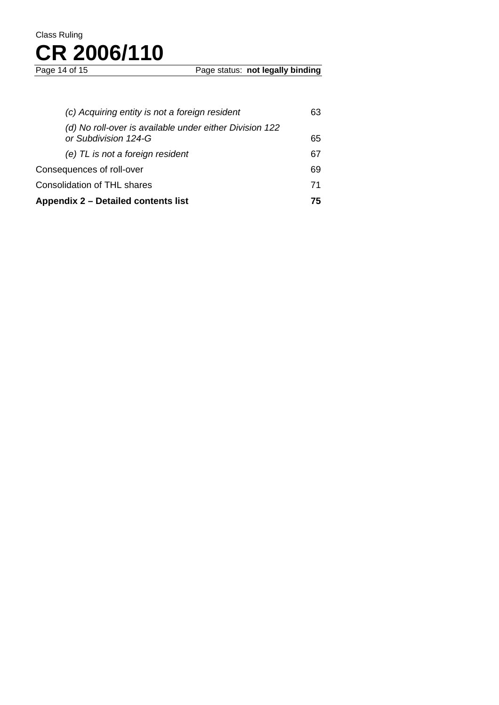| Appendix 2 – Detailed contents list                                             | 75 |
|---------------------------------------------------------------------------------|----|
| <b>Consolidation of THL shares</b>                                              | 71 |
| Consequences of roll-over                                                       | 69 |
| (e) TL is not a foreign resident                                                | 67 |
| (d) No roll-over is available under either Division 122<br>or Subdivision 124-G | 65 |
| (c) Acquiring entity is not a foreign resident                                  | 63 |